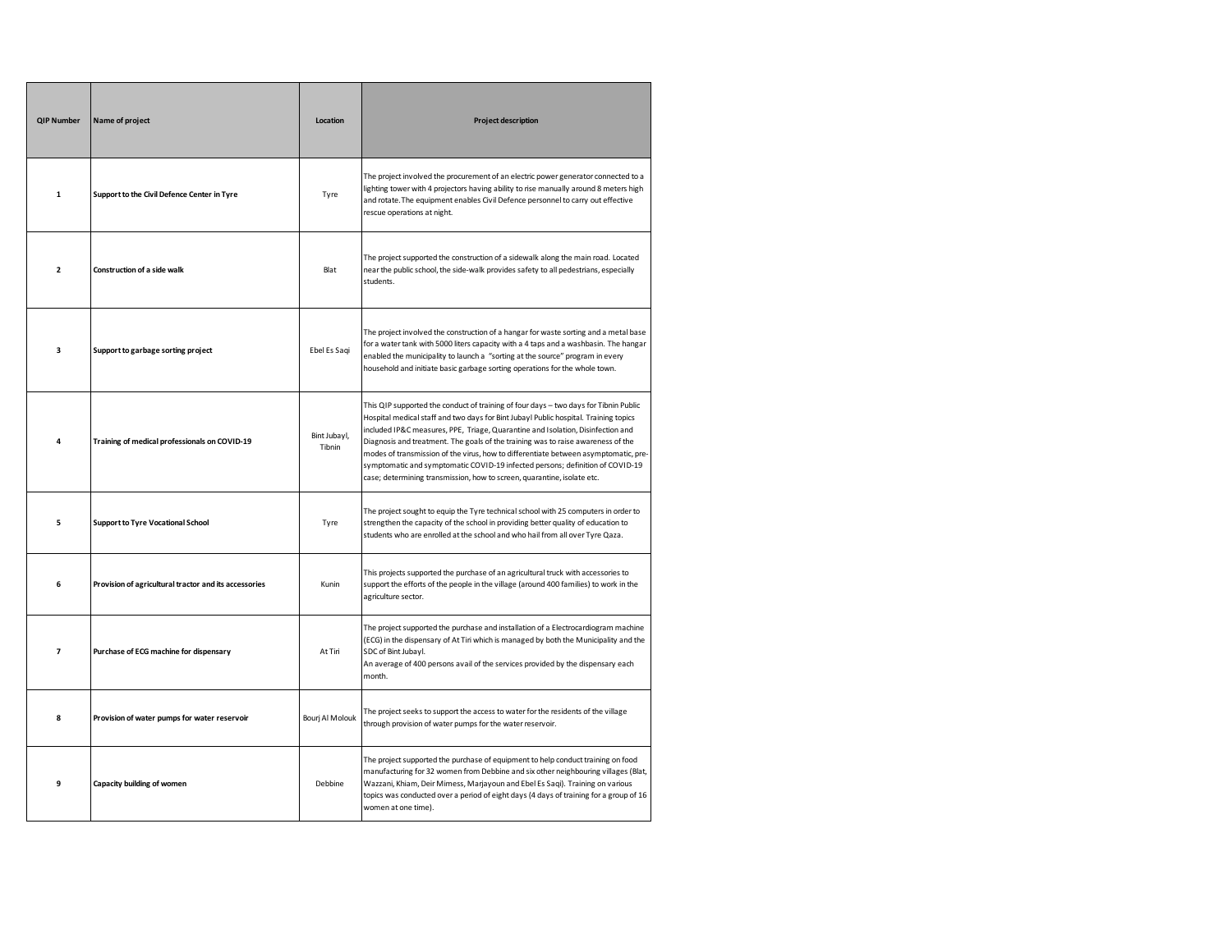| <b>QIP Number</b>        | Name of project                                       | Location               | <b>Project description</b>                                                                                                                                                                                                                                                                                                                                                                                                                                                                                                                                                                             |
|--------------------------|-------------------------------------------------------|------------------------|--------------------------------------------------------------------------------------------------------------------------------------------------------------------------------------------------------------------------------------------------------------------------------------------------------------------------------------------------------------------------------------------------------------------------------------------------------------------------------------------------------------------------------------------------------------------------------------------------------|
| $\mathbf{1}$             | Support to the Civil Defence Center in Tyre           | Tyre                   | The project involved the procurement of an electric power generator connected to a<br>lighting tower with 4 projectors having ability to rise manually around 8 meters high<br>and rotate. The equipment enables Civil Defence personnel to carry out effective<br>rescue operations at night.                                                                                                                                                                                                                                                                                                         |
| $\overline{\mathbf{2}}$  | Construction of a side walk                           | Blat                   | The project supported the construction of a sidewalk along the main road. Located<br>near the public school, the side-walk provides safety to all pedestrians, especially<br>students.                                                                                                                                                                                                                                                                                                                                                                                                                 |
| 3                        | Support to garbage sorting project                    | Ebel Es Sagi           | The project involved the construction of a hangar for waste sorting and a metal base<br>for a water tank with 5000 liters capacity with a 4 taps and a washbasin. The hangar<br>enabled the municipality to launch a "sorting at the source" program in every<br>household and initiate basic garbage sorting operations for the whole town.                                                                                                                                                                                                                                                           |
| 4                        | Training of medical professionals on COVID-19         | Bint Jubayl,<br>Tibnin | This QIP supported the conduct of training of four days - two days for Tibnin Public<br>Hospital medical staff and two days for Bint Jubayl Public hospital. Training topics<br>included IP&C measures, PPE, Triage, Quarantine and Isolation, Disinfection and<br>Diagnosis and treatment. The goals of the training was to raise awareness of the<br>modes of transmission of the virus, how to differentiate between asymptomatic, pre-<br>symptomatic and symptomatic COVID-19 infected persons; definition of COVID-19<br>case; determining transmission, how to screen, quarantine, isolate etc. |
| 5                        | <b>Support to Tyre Vocational School</b>              | Tyre                   | The project sought to equip the Tyre technical school with 25 computers in order to<br>strengthen the capacity of the school in providing better quality of education to<br>students who are enrolled at the school and who hail from all over Tyre Qaza.                                                                                                                                                                                                                                                                                                                                              |
| 6                        | Provision of agricultural tractor and its accessories | Kunin                  | This projects supported the purchase of an agricultural truck with accessories to<br>support the efforts of the people in the village (around 400 families) to work in the<br>agriculture sector.                                                                                                                                                                                                                                                                                                                                                                                                      |
| $\overline{\phantom{a}}$ | Purchase of ECG machine for dispensary                | At Tiri                | The project supported the purchase and installation of a Electrocardiogram machine<br>(ECG) in the dispensary of At Tiri which is managed by both the Municipality and the<br>SDC of Bint Jubayl.<br>An average of 400 persons avail of the services provided by the dispensary each<br>month.                                                                                                                                                                                                                                                                                                         |
| 8                        | Provision of water pumps for water reservoir          | Bouri Al Molouk        | The project seeks to support the access to water for the residents of the village<br>through provision of water pumps for the water reservoir.                                                                                                                                                                                                                                                                                                                                                                                                                                                         |
| 9                        | Capacity building of women                            | Debbine                | The project supported the purchase of equipment to help conduct training on food<br>manufacturing for 32 women from Debbine and six other neighbouring villages (Blat,<br>Wazzani, Khiam, Deir Mimess, Marjayoun and Ebel Es Saqi). Training on various<br>topics was conducted over a period of eight days (4 days of training for a group of 16<br>women at one time).                                                                                                                                                                                                                               |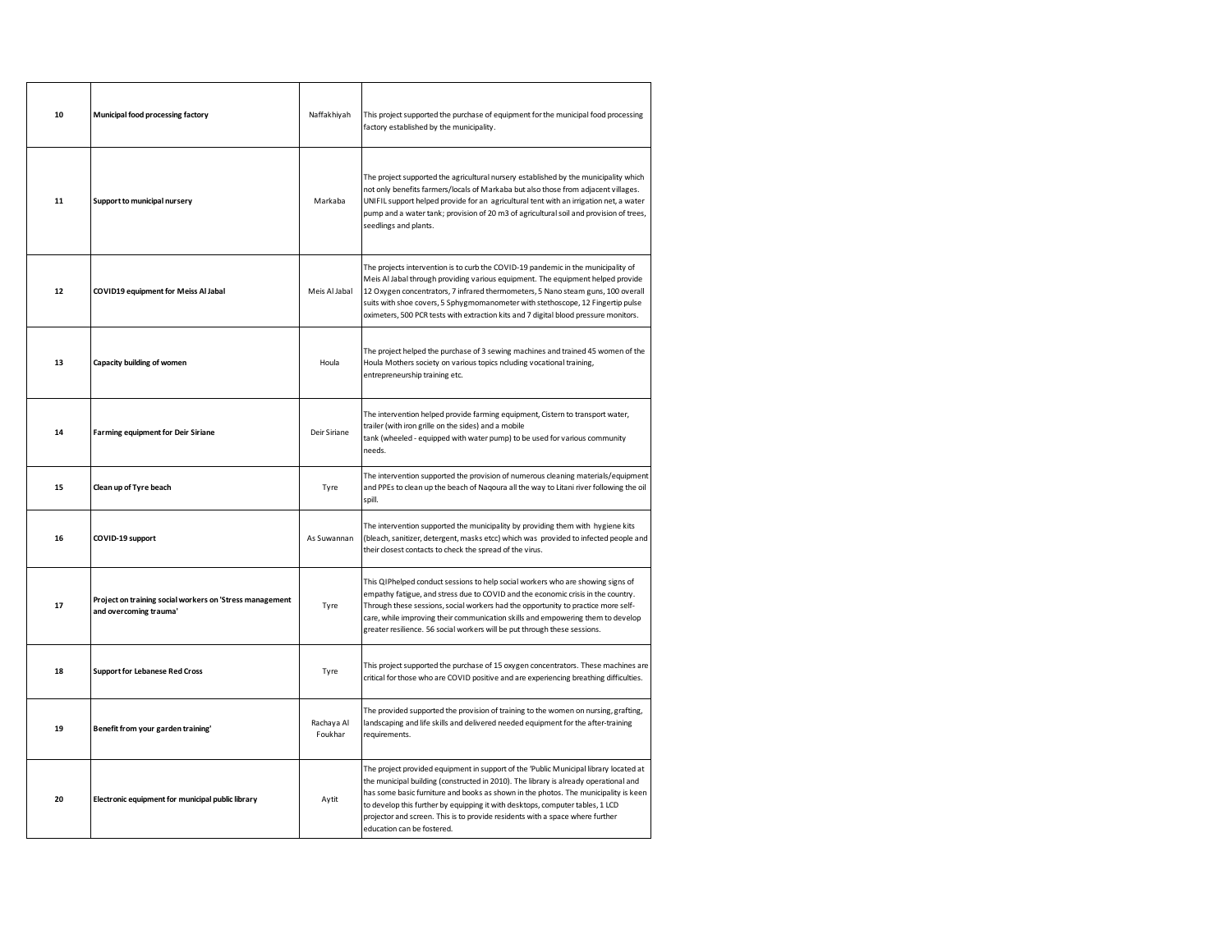| 10 | Municipal food processing factory                                                  | Naffakhiyah           | This project supported the purchase of equipment for the municipal food processing<br>factory established by the municipality.                                                                                                                                                                                                                                                                                                                                       |
|----|------------------------------------------------------------------------------------|-----------------------|----------------------------------------------------------------------------------------------------------------------------------------------------------------------------------------------------------------------------------------------------------------------------------------------------------------------------------------------------------------------------------------------------------------------------------------------------------------------|
| 11 | Support to municipal nursery                                                       | Markaba               | The project supported the agricultural nursery established by the municipality which<br>not only benefits farmers/locals of Markaba but also those from adjacent villages.<br>UNIFIL support helped provide for an agricultural tent with an irrigation net, a water<br>pump and a water tank; provision of 20 m3 of agricultural soil and provision of trees,<br>seedlings and plants.                                                                              |
| 12 | COVID19 equipment for Meiss Al Jabal                                               | Meis Al Jabal         | The projects intervention is to curb the COVID-19 pandemic in the municipality of<br>Meis Al Jabal through providing various equipment. The equipment helped provide<br>12 Oxygen concentrators, 7 infrared thermometers, 5 Nano steam guns, 100 overall<br>suits with shoe covers, 5 Sphygmomanometer with stethoscope, 12 Fingertip pulse<br>oximeters, 500 PCR tests with extraction kits and 7 digital blood pressure monitors.                                  |
| 13 | Capacity building of women                                                         | Houla                 | The project helped the purchase of 3 sewing machines and trained 45 women of the<br>Houla Mothers society on various topics ncluding vocational training,<br>entrepreneurship training etc.                                                                                                                                                                                                                                                                          |
| 14 | <b>Farming equipment for Deir Siriane</b>                                          | Deir Siriane          | The intervention helped provide farming equipment, Cistern to transport water,<br>trailer (with iron grille on the sides) and a mobile<br>tank (wheeled - equipped with water pump) to be used for various community<br>needs.                                                                                                                                                                                                                                       |
| 15 | Clean up of Tyre beach                                                             | Tyre                  | The intervention supported the provision of numerous cleaning materials/equipment<br>and PPEs to clean up the beach of Naqoura all the way to Litani river following the oil<br>spill.                                                                                                                                                                                                                                                                               |
| 16 | COVID-19 support                                                                   | As Suwannan           | The intervention supported the municipality by providing them with hygiene kits<br>(bleach, sanitizer, detergent, masks etcc) which was provided to infected people and<br>their closest contacts to check the spread of the virus.                                                                                                                                                                                                                                  |
| 17 | Project on training social workers on 'Stress management<br>and overcoming trauma' | Tyre                  | This QIPhelped conduct sessions to help social workers who are showing signs of<br>empathy fatigue, and stress due to COVID and the economic crisis in the country.<br>Through these sessions, social workers had the opportunity to practice more self-<br>care, while improving their communication skills and empowering them to develop<br>greater resilience. 56 social workers will be put through these sessions.                                             |
| 18 | <b>Support for Lebanese Red Cross</b>                                              | Tyre                  | This project supported the purchase of 15 oxygen concentrators. These machines are<br>critical for those who are COVID positive and are experiencing breathing difficulties.                                                                                                                                                                                                                                                                                         |
| 19 | Benefit from your garden training'                                                 | Rachava Al<br>Foukhar | The provided supported the provision of training to the women on nursing, grafting,<br>landscaping and life skills and delivered needed equipment for the after-training<br>requirements.                                                                                                                                                                                                                                                                            |
| 20 | Electronic equipment for municipal public library                                  | Aytit                 | The project provided equipment in support of the 'Public Municipal library located at<br>the municipal building (constructed in 2010). The library is already operational and<br>has some basic furniture and books as shown in the photos. The municipality is keen<br>to develop this further by equipping it with desktops, computer tables, 1 LCD<br>projector and screen. This is to provide residents with a space where further<br>education can be fostered. |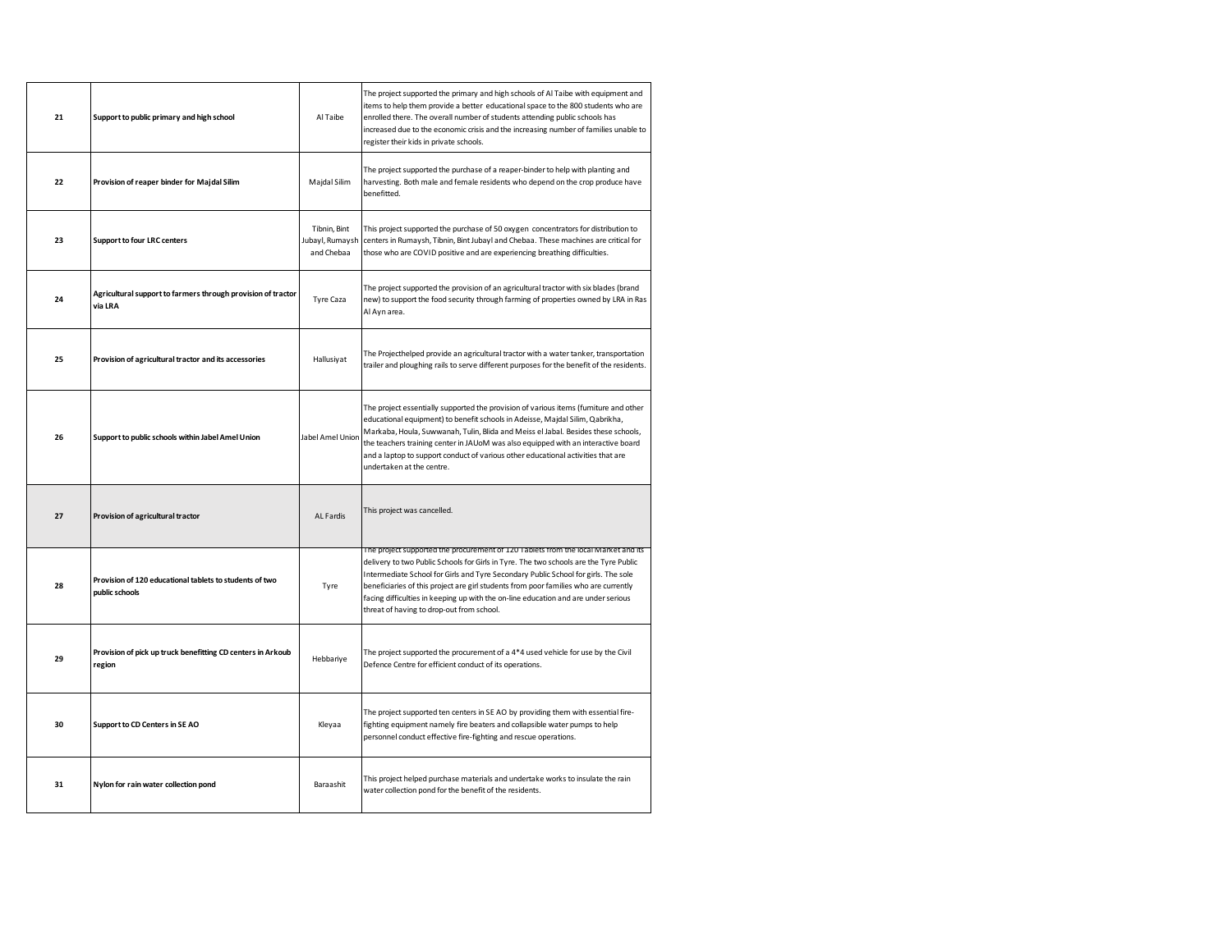| 21 | Support to public primary and high school                                 | Al Taibe                                      | The project supported the primary and high schools of Al Taibe with equipment and<br>items to help them provide a better educational space to the 800 students who are<br>enrolled there. The overall number of students attending public schools has<br>increased due to the economic crisis and the increasing number of families unable to<br>register their kids in private schools.                                                                                                     |
|----|---------------------------------------------------------------------------|-----------------------------------------------|----------------------------------------------------------------------------------------------------------------------------------------------------------------------------------------------------------------------------------------------------------------------------------------------------------------------------------------------------------------------------------------------------------------------------------------------------------------------------------------------|
| 22 | Provision of reaper binder for Majdal Silim                               | Majdal Silim                                  | The project supported the purchase of a reaper-binder to help with planting and<br>harvesting. Both male and female residents who depend on the crop produce have<br>benefitted.                                                                                                                                                                                                                                                                                                             |
| 23 | <b>Support to four LRC centers</b>                                        | Tibnin, Bint<br>Jubayl, Rumaysh<br>and Chebaa | This project supported the purchase of 50 oxygen concentrators for distribution to<br>centers in Rumaysh, Tibnin, Bint Jubayl and Chebaa. These machines are critical for<br>those who are COVID positive and are experiencing breathing difficulties.                                                                                                                                                                                                                                       |
| 24 | Agricultural support to farmers through provision of tractor<br>via LRA   | Tyre Caza                                     | The project supported the provision of an agricultural tractor with six blades (brand<br>new) to support the food security through farming of properties owned by LRA in Ras<br>Al Ayn area.                                                                                                                                                                                                                                                                                                 |
| 25 | Provision of agricultural tractor and its accessories                     | Hallusiyat                                    | The Projecthelped provide an agricultural tractor with a water tanker, transportation<br>trailer and ploughing rails to serve different purposes for the benefit of the residents.                                                                                                                                                                                                                                                                                                           |
| 26 | Support to public schools within Jabel Amel Union                         | <b>Jabel Amel Union</b>                       | The project essentially supported the provision of various items (furniture and other<br>educational equipment) to benefit schools in Adeisse, Majdal Silim, Qabrikha,<br>Markaba, Houla, Suwwanah, Tulin, Blida and Meiss el Jabal. Besides these schools,<br>the teachers training center in JAUoM was also equipped with an interactive board<br>and a laptop to support conduct of various other educational activities that are<br>undertaken at the centre.                            |
| 27 | Provision of agricultural tractor                                         | AL Fardis                                     | This project was cancelled.                                                                                                                                                                                                                                                                                                                                                                                                                                                                  |
| 28 | Provision of 120 educational tablets to students of two<br>public schools | Tyre                                          | The project supported the procurement of 120 Tablets from the local Market and its<br>delivery to two Public Schools for Girls in Tyre. The two schools are the Tyre Public<br>Intermediate School for Girls and Tyre Secondary Public School for girls. The sole<br>beneficiaries of this project are girl students from poor families who are currently<br>facing difficulties in keeping up with the on-line education and are under serious<br>threat of having to drop-out from school. |
| 29 | Provision of pick up truck benefitting CD centers in Arkoub<br>region     | Hebbariye                                     | The project supported the procurement of a 4*4 used vehicle for use by the Civil<br>Defence Centre for efficient conduct of its operations.                                                                                                                                                                                                                                                                                                                                                  |
| 30 | Support to CD Centers in SE AO                                            | Kleyaa                                        | The project supported ten centers in SE AO by providing them with essential fire-<br>fighting equipment namely fire beaters and collapsible water pumps to help<br>personnel conduct effective fire-fighting and rescue operations.                                                                                                                                                                                                                                                          |
| 31 | Nylon for rain water collection pond                                      | Baraashit                                     | This project helped purchase materials and undertake works to insulate the rain<br>water collection pond for the benefit of the residents.                                                                                                                                                                                                                                                                                                                                                   |